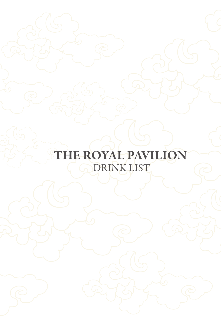# THE ROYAL PAVILION DRINK LIST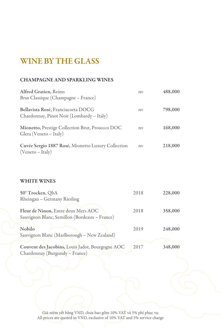# WINE BY THE GLASS

#### CHAMPAGNE AND SPARKLING WINES

| <b>Alfred Gratien</b> , Reims<br>Brut Classique (Champagne – France)            | nv | 488,000 |
|---------------------------------------------------------------------------------|----|---------|
| Bellavista Rosé, Franciacorta DOCG<br>Chardonnay, Pinot Noir (Lombardy - Italy) | nv | 798,000 |
| Mionetto, Prestige Collection Brut, Prosecco DOC<br>Glera (Veneto – Italy)      | nv | 168,000 |
| Cuvée Sergio 1887 Rosé, Mionetto Luxury Collection<br>$(Veneto - Italy)$        | nv | 218,000 |

#### WHITE WINES

| 50° Trocken, QbA                                                                     | 2018 | 228,000 |
|--------------------------------------------------------------------------------------|------|---------|
| Rheingau - Germany Riesling                                                          |      |         |
| Fleur de Ninon, Entre deux Mers AOC<br>Sauvignon Blanc, Semillon (Bordeaux - France) | 2018 | 358,000 |
| Nobilo<br>Sauvignon Blanc (Marlborough – New Zealand)                                | 2019 | 248,000 |
|                                                                                      |      |         |
| Couvent des Jacobins, Louis Jadot, Bourgogne AOC                                     | 2017 | 348,000 |
| Chardonnay (Burgundy - France)                                                       |      |         |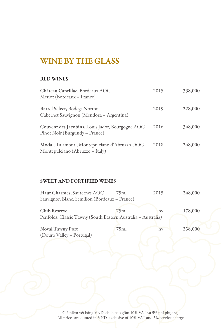# WINE BY THE GLASS

#### RED WINES

| Château Cantillac, Bordeaux AOC<br>Merlot (Bordeaux - France)                      | 2015 | 338,000 |
|------------------------------------------------------------------------------------|------|---------|
| Barrel Select, Bodega Norton<br>Cabernet Sauvignon (Mendoza - Argentina)           | 2019 | 228,000 |
| Couvent des Jacobins, Louis Jadot, Bourgogne AOC<br>Pinot Noir (Burgundy – France) | 2016 | 348,000 |
| Moda', Talamonti, Montepulciano d'Abruzzo DOC<br>Montepulciano (Abruzzo – Italy)   | 2018 | 248,000 |

#### SWEET AND FORTIFIED WINES

| Haut Charmes, Sauternes AOC                                   | 75ml | 2015 | 248,000 |
|---------------------------------------------------------------|------|------|---------|
| Sauvignon Blanc, Sémillon (Bordeaux - France)                 |      |      |         |
|                                                               |      |      |         |
| Club Reserve                                                  | 75ml | nv   | 178,000 |
| Penfolds, Classic Tawny (South Eastern Australia - Australia) |      |      |         |
|                                                               |      |      |         |
| Noval Tawny Port                                              | 75ml | nv   | 238,000 |
| (Douro Valley – Portugal)                                     |      |      |         |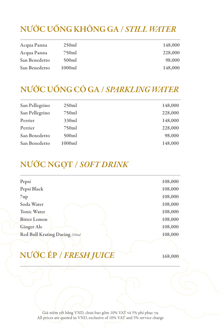# NƯỚC UỐNG KHÔNG GA / *STILL WATER*

| Acqua Panna   | 250ml  | 148,000 |
|---------------|--------|---------|
| Acqua Panna   | 750ml  | 228,000 |
| San Benedetto | 500ml  | 98,000  |
| San Benedetto | 1000ml | 148,000 |
|               |        |         |

# NƯỚC UỐNG CÓ GA / *SPARKLING WATER*

| San Pellegrino | 250ml  | 148,000 |
|----------------|--------|---------|
| San Pellegrino | 750ml  | 228,000 |
| Perrier        | 330ml  | 148,000 |
| Perrier        | 750ml  | 228,000 |
| San Benedetto  | 500ml  | 98,000  |
| San Benedetto  | 1000ml | 148,000 |
|                |        |         |

# NƯỚC NGỌT / *SOFT DRINK*

| Pepsi                         | 108,000 |
|-------------------------------|---------|
| Pepsi Black                   | 108,000 |
| 7up                           | 108,000 |
| Soda Water                    | 108,000 |
| <b>Tonic Water</b>            | 108,000 |
| <b>Bitter Lemon</b>           | 108,000 |
| <b>Ginger Ale</b>             | 108,000 |
| Red Bull Krating Daeing 250ml | 108,000 |
|                               |         |

# NƯỚC ÉP / *FRESH JUICE* 168,000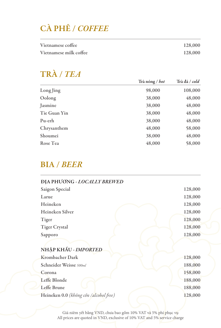# CÀ PHÊ / *COFFEE*

| Vietnamese coffee      | 128,000 |
|------------------------|---------|
| Vietnamese milk coffee | 128,000 |

# TRÀ / *TEA*

|                  | $\text{Trà nóng } / \text{ bot}$ | Trà đá / cold |
|------------------|----------------------------------|---------------|
| <b>Long Jing</b> | 98,000                           | 108,000       |
| Oolong           | 38,000                           | 48,000        |
| Jasmine          | 38,000                           | 48,000        |
| Tie Guan Yin     | 38,000                           | 48,000        |
| Pu-erh           | 38,000                           | 48,000        |
| Chrysanthem      | 48,000                           | 58,000        |
| Shoumei          | 38,000                           | 48,000        |
| Rose Tea         | 48,000                           | 58,000        |
|                  |                                  |               |

## BIA / *BEER*

| ĐỊA PHƯƠNG - LOCALLY BREWED            |         |
|----------------------------------------|---------|
| Saigon Special                         | 128,000 |
| Larue                                  | 128,000 |
| Heineken                               | 128,000 |
| Heineken Silver                        | 128,000 |
| Tiger                                  | 128,000 |
| <b>Tiger Crystal</b>                   | 128,000 |
| Sapporo                                | 128,000 |
|                                        |         |
| NHẬP KHẨU - IMPORTED                   |         |
| Krombacher Dark                        | 128,000 |
| Schneider Weisse 500ml                 | 188,000 |
| Corona                                 | 158,000 |
| Leffe Blonde                           | 188,000 |
| Leffe Brune                            | 188,000 |
| Heineken 0.0 (không côn /alcohol free) | 128,000 |
|                                        |         |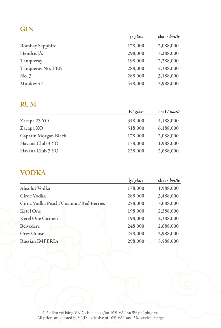## **GIN**

| chai / bottle<br>$\frac{1}{y}$ glass |
|--------------------------------------|
| 2,088,000<br>178,000                 |
| 3,288,000<br>298,000                 |
| 2,288,000<br>198,000                 |
| 4,388,000<br>288,000                 |
| 3,188,000<br>288,000                 |
| 448,000<br>3,988,000                 |
|                                      |

## RUM

| $\frac{1}{y}$ glass | chai / bottle |
|---------------------|---------------|
| 348,000             | 4,188,000     |
| 518,000             | 6,188,000     |
| 178,000             | 2,088,000     |
| 178,000             | 1,988,000     |
| 228,000             | 2,688,000     |
|                     |               |

## VODKA

|                                       | $\frac{1}{y}$ glass | chai / bottle |
|---------------------------------------|---------------------|---------------|
| Absolut Vodka                         | 178,000             | 1,988,000     |
| Cîroc Vodka                           | 288,000             | 3,488,000     |
| Cîroc Vodka Peach/Coconut/Red Berries | 258,000             | 3,088,000     |
| <b>Ketel One</b>                      | 198,000             | 2,388,000     |
| <b>Ketel One Citroen</b>              | 198,000             | 2,388,000     |
| <b>Belvedere</b>                      | 248,000             | 2,688,000     |
| <b>Grey Goose</b>                     | 248,000             | 2,988,000     |
| <b>Russian IMPERIA</b>                | 298,000             | 3,588,000     |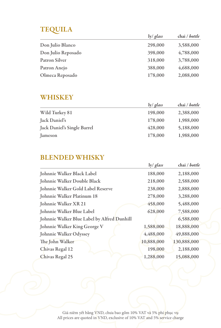# TEQUILA

|                    | $\frac{1}{y}$ glass | chai / <i>bottle</i> |
|--------------------|---------------------|----------------------|
| Don Julio Blanco   | 298,000             | 3,588,000            |
| Don Julio Reposado | 398,000             | 4,788,000            |
| Patron Silver      | 318,000             | 3,788,000            |
| Patron Anejo       | 388,000             | 4,688,000            |
| Olmeca Reposado    | 178,000             | 2,088,000            |
|                    |                     |                      |

### **WHISKEY**

|                             | $\frac{1}{y}$ glass | chai / bottle |
|-----------------------------|---------------------|---------------|
| Wild Turkey 81              | 198,000             | 2,388,000     |
| Jack Daniel's               | 178,000             | 1,988,000     |
| Jack Daniel's Single Barrel | 428,000             | 5,188,000     |
| Jameson                     | 178,000             | 1,988,000     |
|                             |                     |               |

### BLENDED WHISKY

|            | chai / bottle       |
|------------|---------------------|
| 188,000    | 2,188,000           |
| 218,000    | 2,588,000           |
| 238,000    | 2,888,000           |
| 278,000    | 3,288,000           |
| 458,000    | 5,488,000           |
| 628,000    | 7,588,000           |
|            | 6,588,000           |
| 1,588,000  | 18,888,000          |
| 4,488,000  | 49,888,000          |
| 10,888,000 | 130,888,000         |
| 198,000    | 2,188,000           |
| 1,288,000  | 15,088,000          |
|            | $\frac{1}{y}$ glass |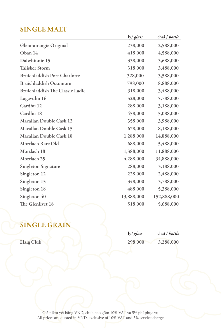### SINGLE MALT

|                                        | $\frac{1}{y}$ glass | chai / <i>bottle</i> |
|----------------------------------------|---------------------|----------------------|
| Glenmorangie Original                  | 238,000             | 2,588,000            |
| Oban 14                                | 418,000             | 4,588,000            |
| Dalwhinnie 15                          | 338,000             | 3,688,000            |
| <b>Talisker Storm</b>                  | 318,000             | 3,488,000            |
| <b>Bruichladdish Port Charlotte</b>    | 328,000             | 3,588,000            |
| <b>Bruichladdish Octomore</b>          | 798,000             | 8,888,000            |
| <b>Bruichladdish The Classic Ladie</b> | 318,000             | 3,488,000            |
| Lagavulin 16                           | 528,000             | 5,788,000            |
| Cardhu 12                              | 288,000             | 3,188,000            |
| Cardhu 18                              | 458,000             | 5,088,000            |
| Macallan Double Cask 12                | 358,000             | 3,988,000            |
| Macallan Double Cask 15                | 678,000             | 8,188,000            |
| Macallan Double Cask 18                | 1,288,000           | 14,888,000           |
| Mortlach Rare Old                      | 688,000             | 5,488,000            |
| Mortlach 18                            | 1,388,000           | 11,888,000           |
| Mortlach 25                            | 4,288,000           | 34,888,000           |
| <b>Singleton Signature</b>             | 288,000             | 3,188,000            |
| Singleton 12                           | 228,000             | 2,488,000            |
| Singleton 15                           | 348,000             | 3,788,000            |
| Singleton 18                           | 488,000             | 5,388,000            |
| Singleton 40                           | 13,888,000          | 152,888,000          |
| The Glenlivet 18                       | 518,000             | 5,688,000            |
|                                        |                     |                      |

## SINGLE GRAIN

 $\overline{a}$ 

|           | ly/ glass | chai / bottle |
|-----------|-----------|---------------|
| Haig Club | 298,000   | 3,288,000     |
|           |           |               |
|           |           |               |
|           |           |               |